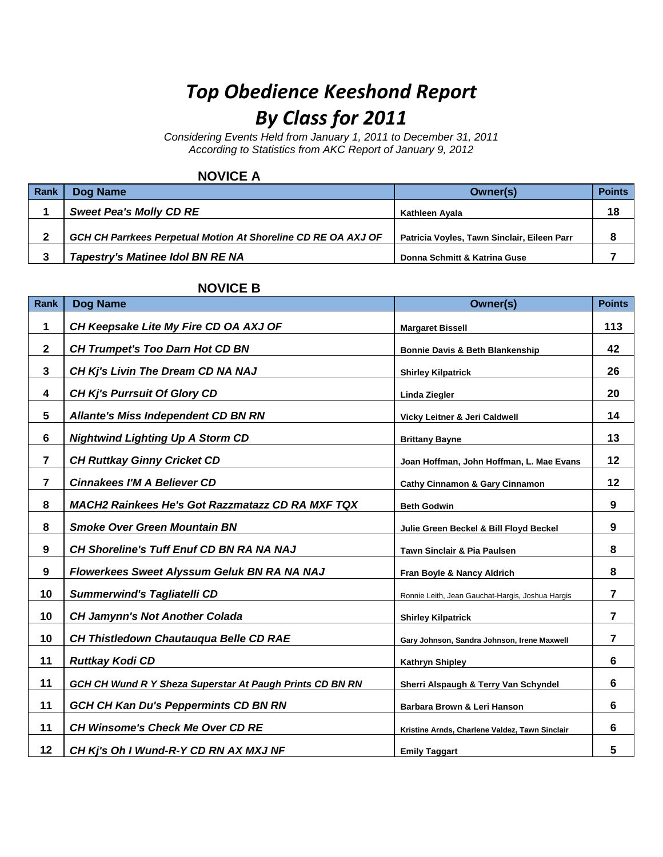# *Top Obedience Keeshond Report By Class for 2011*

*Considering Events Held from January 1, 2011 to December 31, 2011 According to Statistics from AKC Report of January 9, 2012*

#### **NOVICE A**

| Rank | Dog Name                                                      | Owner(s)                                    | <b>Points</b> |
|------|---------------------------------------------------------------|---------------------------------------------|---------------|
|      | <b>Sweet Pea's Molly CD RE</b>                                | Kathleen Avala                              | 18            |
|      | GCH CH Parrkees Perpetual Motion At Shoreline CD RE OA AXJ OF | Patricia Voyles, Tawn Sinclair, Eileen Parr |               |
| ≏    | <b>Tapestry's Matinee Idol BN RE NA</b>                       | Donna Schmitt & Katrina Guse                |               |

#### **NOVICE B**

| Rank           | Dog Name                                                 | Owner(s)                                         | <b>Points</b>  |
|----------------|----------------------------------------------------------|--------------------------------------------------|----------------|
| 1              | CH Keepsake Lite My Fire CD OA AXJ OF                    | <b>Margaret Bissell</b>                          | 113            |
| $\mathbf{2}$   | <b>CH Trumpet's Too Darn Hot CD BN</b>                   | <b>Bonnie Davis &amp; Beth Blankenship</b>       | 42             |
| $\mathbf{3}$   | CH Kj's Livin The Dream CD NA NAJ                        | <b>Shirley Kilpatrick</b>                        | 26             |
| 4              | <b>CH Kj's Purrsuit Of Glory CD</b>                      | Linda Ziegler                                    | 20             |
| 5              | <b>Allante's Miss Independent CD BN RN</b>               | Vicky Leitner & Jeri Caldwell                    | 14             |
| 6              | <b>Nightwind Lighting Up A Storm CD</b>                  | <b>Brittany Bayne</b>                            | 13             |
| $\overline{7}$ | <b>CH Ruttkay Ginny Cricket CD</b>                       | Joan Hoffman, John Hoffman, L. Mae Evans         | 12             |
| 7              | <b>Cinnakees I'M A Believer CD</b>                       | <b>Cathy Cinnamon &amp; Gary Cinnamon</b>        | 12             |
| 8              | <b>MACH2 Rainkees He's Got Razzmatazz CD RA MXF TQX</b>  | <b>Beth Godwin</b>                               | 9              |
| 8              | <b>Smoke Over Green Mountain BN</b>                      | Julie Green Beckel & Bill Floyd Beckel           | 9              |
| 9              | <b>CH Shoreline's Tuff Enuf CD BN RA NA NAJ</b>          | Tawn Sinclair & Pia Paulsen                      | 8              |
| 9              | Flowerkees Sweet Alyssum Geluk BN RA NA NAJ              | Fran Boyle & Nancy Aldrich                       | 8              |
| 10             | <b>Summerwind's Tagliatelli CD</b>                       | Ronnie Leith, Jean Gauchat-Hargis, Joshua Hargis | $\overline{7}$ |
| 10             | <b>CH Jamynn's Not Another Colada</b>                    | <b>Shirley Kilpatrick</b>                        | $\overline{7}$ |
| 10             | CH Thistledown Chautauqua Belle CD RAE                   | Gary Johnson, Sandra Johnson, Irene Maxwell      | $\overline{7}$ |
| 11             | <b>Ruttkay Kodi CD</b>                                   | Kathryn Shipley                                  | 6              |
| 11             | GCH CH Wund R Y Sheza Superstar At Paugh Prints CD BN RN | Sherri Alspaugh & Terry Van Schyndel             | 6              |
| 11             | <b>GCH CH Kan Du's Peppermints CD BN RN</b>              | Barbara Brown & Leri Hanson                      | 6              |
| 11             | <b>CH Winsome's Check Me Over CD RE</b>                  | Kristine Arnds, Charlene Valdez, Tawn Sinclair   | 6              |
| 12             | CH Kj's Oh I Wund-R-Y CD RN AX MXJ NF                    | <b>Emily Taggart</b>                             | 5              |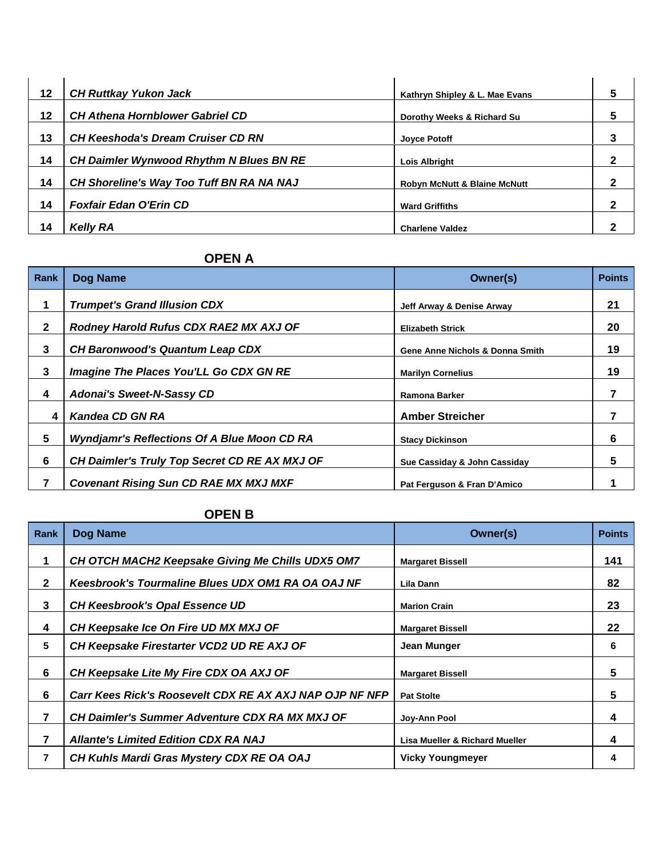| 12 | <b>CH Ruttkay Yukon Jack</b>                   | Kathryn Shipley & L. Mae Evans          | 5 |
|----|------------------------------------------------|-----------------------------------------|---|
| 12 | <b>CH Athena Hornblower Gabriel CD</b>         | Dorothy Weeks & Richard Su              | 5 |
| 13 | <b>CH Keeshoda's Dream Cruiser CD RN</b>       | <b>Joyce Potoff</b>                     |   |
| 14 | <b>CH Daimler Wynwood Rhythm N Blues BN RE</b> | <b>Lois Albright</b>                    | 2 |
| 14 | CH Shoreline's Way Too Tuff BN RA NA NAJ       | <b>Robyn McNutt &amp; Blaine McNutt</b> | 2 |
| 14 | <b>Foxfair Edan O'Erin CD</b>                  | <b>Ward Griffiths</b>                   | 2 |
| 14 | <b>Kelly RA</b>                                | <b>Charlene Valdez</b>                  | ּ |

## **OPEN A**

| Rank         | Dog Name                                           | Owner(s)                        | <b>Points</b> |
|--------------|----------------------------------------------------|---------------------------------|---------------|
|              | <b>Trumpet's Grand Illusion CDX</b>                | Jeff Arway & Denise Arway       | 21            |
| $\mathbf{2}$ | Rodney Harold Rufus CDX RAE2 MX AXJ OF             | <b>Elizabeth Strick</b>         | 20            |
| 3            | <b>CH Baronwood's Quantum Leap CDX</b>             | Gene Anne Nichols & Donna Smith | 19            |
| 3            | Imagine The Places You'LL Go CDX GN RE             | <b>Marilyn Cornelius</b>        | 19            |
| 4            | <b>Adonai's Sweet-N-Sassy CD</b>                   | Ramona Barker                   | 7             |
| 4            | Kandea CD GN RA                                    | <b>Amber Streicher</b>          | 7             |
| 5            | <b>Wyndjamr's Reflections Of A Blue Moon CD RA</b> | <b>Stacy Dickinson</b>          | 6             |
| 6            | CH Daimler's Truly Top Secret CD RE AX MXJ OF      | Sue Cassiday & John Cassiday    | 5             |
|              | <b>Covenant Rising Sun CD RAE MX MXJ MXF</b>       | Pat Ferguson & Fran D'Amico     |               |

## **OPEN B**

| Rank         | Dog Name                                                 | Owner(s)                                  | <b>Points</b> |
|--------------|----------------------------------------------------------|-------------------------------------------|---------------|
| 1            | CH OTCH MACH2 Keepsake Giving Me Chills UDX5 OM7         | <b>Margaret Bissell</b>                   | 141           |
| $\mathbf{2}$ | <b>Keesbrook's Tourmaline Blues UDX OM1 RA OA OAJ NF</b> | Lila Dann                                 | 82            |
| 3            | <b>CH Keesbrook's Opal Essence UD</b>                    | <b>Marion Crain</b>                       | 23            |
| 4            | CH Keepsake Ice On Fire UD MX MXJ OF                     | <b>Margaret Bissell</b>                   | 22            |
| 5            | CH Keepsake Firestarter VCD2 UD RE AXJ OF                | Jean Munger                               | 6             |
| 6            | CH Keepsake Lite My Fire CDX OA AXJ OF                   | <b>Margaret Bissell</b>                   | 5             |
| 6            | Carr Kees Rick's Roosevelt CDX RE AX AXJ NAP OJP NF NFP  | <b>Pat Stolte</b>                         | 5             |
| 7            | <b>CH Daimler's Summer Adventure CDX RA MX MXJ OF</b>    | Joy-Ann Pool                              | 4             |
| 7            | <b>Allante's Limited Edition CDX RA NAJ</b>              | <b>Lisa Mueller &amp; Richard Mueller</b> | 4             |
| 7            | CH Kuhls Mardi Gras Mystery CDX RE OA OAJ                | <b>Vicky Youngmeyer</b>                   | 4             |